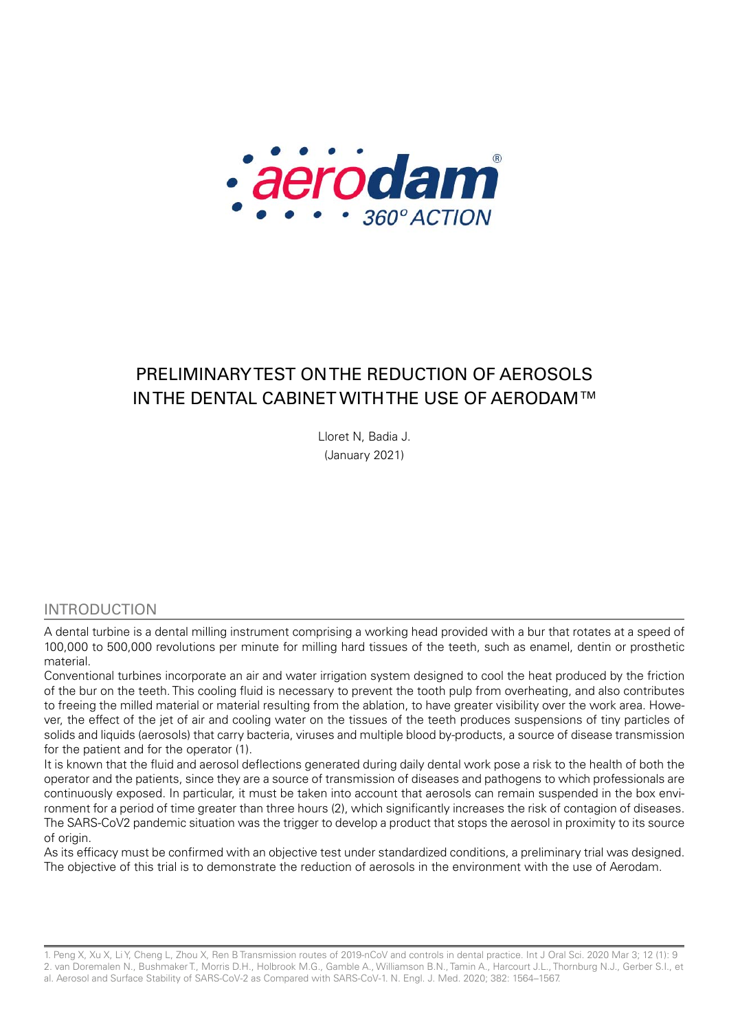

# PRELIMINARY TEST ON THE REDUCTION OF AEROSOLS IN THE DENTAL CABINET WITH THE USE OF AERODAM ™

Lloret N, Badia J. (January 2021)

#### INTRODUCTION

A dental turbine is a dental milling instrument comprising a working head provided with a bur that rotates at a speed of 100,000 to 500,000 revolutions per minute for milling hard tissues of the teeth, such as enamel, dentin or prosthetic material.

Conventional turbines incorporate an air and water irrigation system designed to cool the heat produced by the friction of the bur on the teeth. This cooling fluid is necessary to prevent the tooth pulp from overheating, and also contributes to freeing the milled material or material resulting from the ablation, to have greater visibility over the work area. However, the effect of the jet of air and cooling water on the tissues of the teeth produces suspensions of tiny particles of solids and liquids (aerosols) that carry bacteria, viruses and multiple blood by-products, a source of disease transmission for the patient and for the operator (1).

It is known that the fluid and aerosol deflections generated during daily dental work pose a risk to the health of both the operator and the patients, since they are a source of transmission of diseases and pathogens to which professionals are continuously exposed. In particular, it must be taken into account that aerosols can remain suspended in the box environment for a period of time greater than three hours (2), which significantly increases the risk of contagion of diseases. The SARS-CoV2 pandemic situation was the trigger to develop a product that stops the aerosol in proximity to its source of origin.

As its efficacy must be confirmed with an objective test under standardized conditions, a preliminary trial was designed. The objective of this trial is to demonstrate the reduction of aerosols in the environment with the use of Aerodam.

1. Peng X, Xu X, Li Y, Cheng L, Zhou X, Ren B Transmission routes of 2019-nCoV and controls in dental practice. Int J Oral Sci. 2020 Mar 3; 12 (1): 9 2. van Doremalen N., Bushmaker T., Morris D.H., Holbrook M.G., Gamble A., Williamson B.N., Tamin A., Harcourt J.L., Thornburg N.J., Gerber S.I., et al. Aerosol and Surface Stability of SARS-CoV-2 as Compared with SARS-CoV-1. N. Engl. J. Med. 2020; 382: 1564–1567.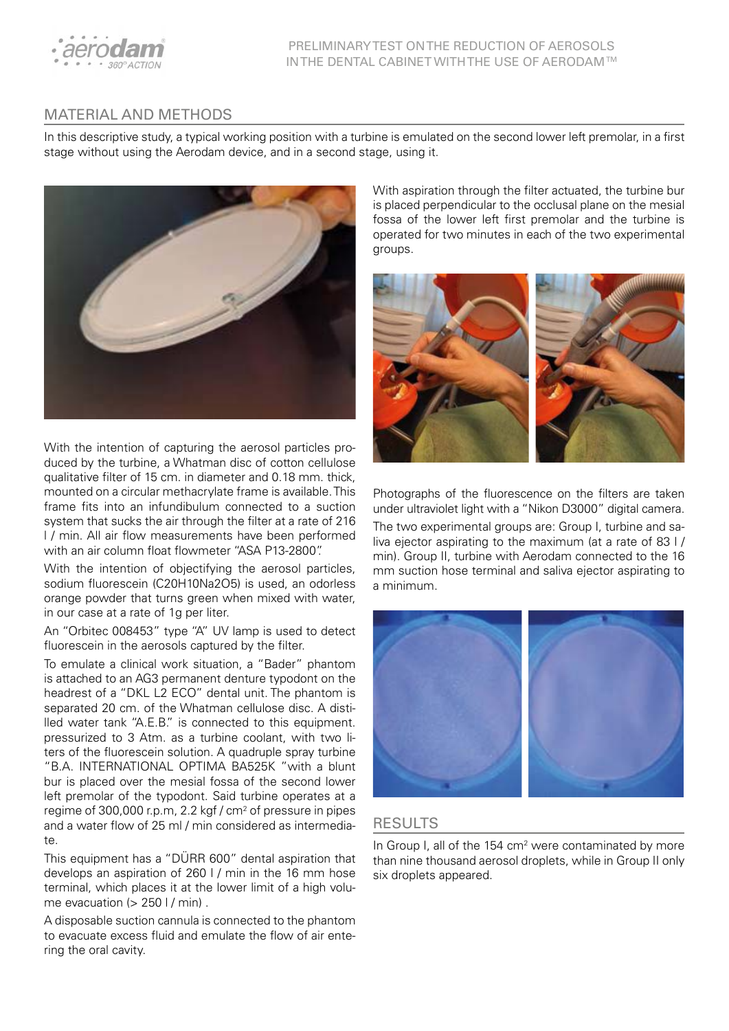

## MATERIAL AND METHODS

In this descriptive study, a typical working position with a turbine is emulated on the second lower left premolar, in a first stage without using the Aerodam device, and in a second stage, using it.



With the intention of capturing the aerosol particles produced by the turbine, a Whatman disc of cotton cellulose qualitative filter of 15 cm. in diameter and 0.18 mm. thick, mounted on a circular methacrylate frame is available. This frame fits into an infundibulum connected to a suction system that sucks the air through the filter at a rate of 216 l / min. All air flow measurements have been performed with an air column float flowmeter "ASA P13-2800".

With the intention of objectifying the aerosol particles, sodium fluorescein (C20H10Na2O5) is used, an odorless orange powder that turns green when mixed with water, in our case at a rate of 1g per liter.

An "Orbitec 008453" type "A" UV lamp is used to detect fluorescein in the aerosols captured by the filter.

To emulate a clinical work situation, a "Bader" phantom is attached to an AG3 permanent denture typodont on the headrest of a "DKL L2 ECO" dental unit. The phantom is separated 20 cm. of the Whatman cellulose disc. A distilled water tank "A.E.B." is connected to this equipment. pressurized to 3 Atm. as a turbine coolant, with two liters of the fluorescein solution. A quadruple spray turbine "B.A. INTERNATIONAL OPTIMA BA525K "with a blunt bur is placed over the mesial fossa of the second lower left premolar of the typodont. Said turbine operates at a regime of 300,000 r.p.m, 2.2 kgf /  $cm<sup>2</sup>$  of pressure in pipes and a water flow of 25 ml / min considered as intermediate.

This equipment has a "DÜRR 600" dental aspiration that develops an aspiration of 260 l / min in the 16 mm hose terminal, which places it at the lower limit of a high volume evacuation ( $> 250$  I / min).

A disposable suction cannula is connected to the phantom to evacuate excess fluid and emulate the flow of air entering the oral cavity.

With aspiration through the filter actuated, the turbine bur is placed perpendicular to the occlusal plane on the mesial fossa of the lower left first premolar and the turbine is operated for two minutes in each of the two experimental groups.



Photographs of the fluorescence on the filters are taken under ultraviolet light with a "Nikon D3000" digital camera. The two experimental groups are: Group I, turbine and saliva ejector aspirating to the maximum (at a rate of 83 l / min). Group II, turbine with Aerodam connected to the 16 mm suction hose terminal and saliva ejector aspirating to a minimum.



#### RESULTS

In Group I, all of the 154 cm<sup>2</sup> were contaminated by more than nine thousand aerosol droplets, while in Group II only six droplets appeared.